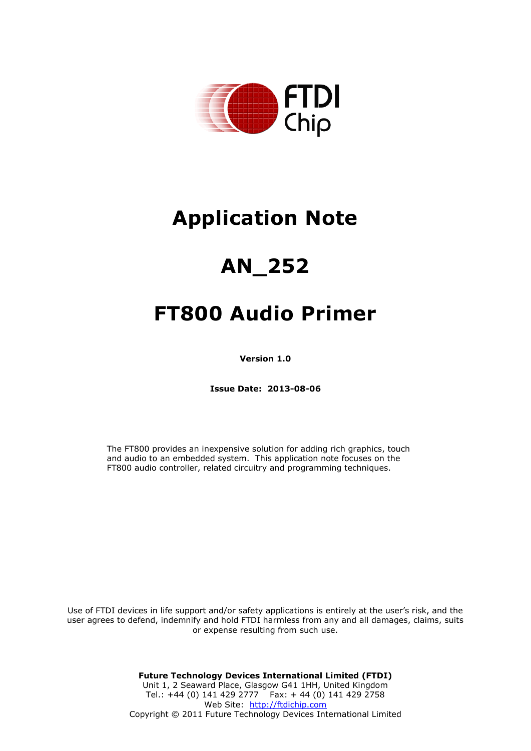

# **Application Note**

# **AN\_252**

# **FT800 Audio Primer**

**Version 1.0** 

**Issue Date: 2013-08-06**

The FT800 provides an inexpensive solution for adding rich graphics, touch and audio to an embedded system. This application note focuses on the FT800 audio controller, related circuitry and programming techniques.

Use of FTDI devices in life support and/or safety applications is entirely at the user's risk, and the user agrees to defend, indemnify and hold FTDI harmless from any and all damages, claims, suits or expense resulting from such use.

> **Future Technology Devices International Limited (FTDI)**  Unit 1, 2 Seaward Place, Glasgow G41 1HH, United Kingdom Tel.: +44 (0) 141 429 2777 Fax: + 44 (0) 141 429 2758 Web Site: [http://ftdichip.com](http://ftdichip.com/) Copyright © 2011 Future Technology Devices International Limited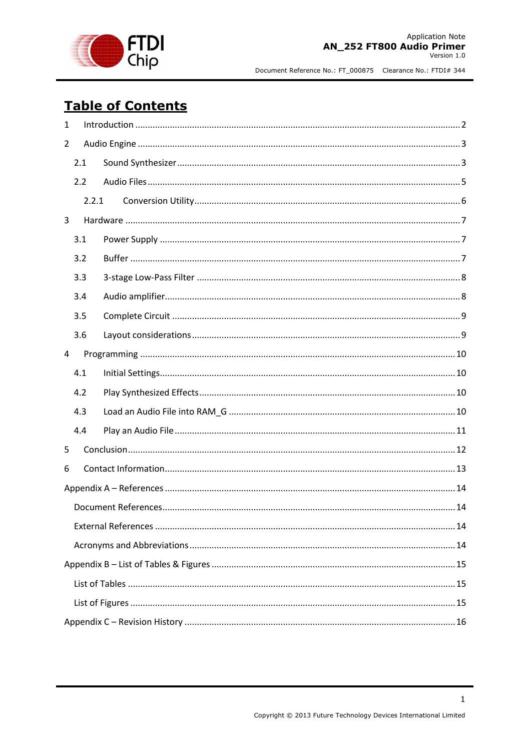

# **Table of Contents**

| $\mathbf{1}$ |       |  |  |  |  |  |
|--------------|-------|--|--|--|--|--|
| 2            |       |  |  |  |  |  |
|              | 2.1   |  |  |  |  |  |
|              | 2.2   |  |  |  |  |  |
|              | 2.2.1 |  |  |  |  |  |
| 3            |       |  |  |  |  |  |
|              | 3.1   |  |  |  |  |  |
|              | 3.2   |  |  |  |  |  |
|              | 3.3   |  |  |  |  |  |
|              | 3.4   |  |  |  |  |  |
|              | 3.5   |  |  |  |  |  |
|              | 3.6   |  |  |  |  |  |
| 4            |       |  |  |  |  |  |
|              | 4.1   |  |  |  |  |  |
|              | 4.2   |  |  |  |  |  |
|              | 4.3   |  |  |  |  |  |
|              | 4.4   |  |  |  |  |  |
| 5            |       |  |  |  |  |  |
| 6            |       |  |  |  |  |  |
|              |       |  |  |  |  |  |
|              |       |  |  |  |  |  |
|              |       |  |  |  |  |  |
|              |       |  |  |  |  |  |
|              |       |  |  |  |  |  |
|              |       |  |  |  |  |  |
|              |       |  |  |  |  |  |
|              |       |  |  |  |  |  |

 $\mathbf{1}$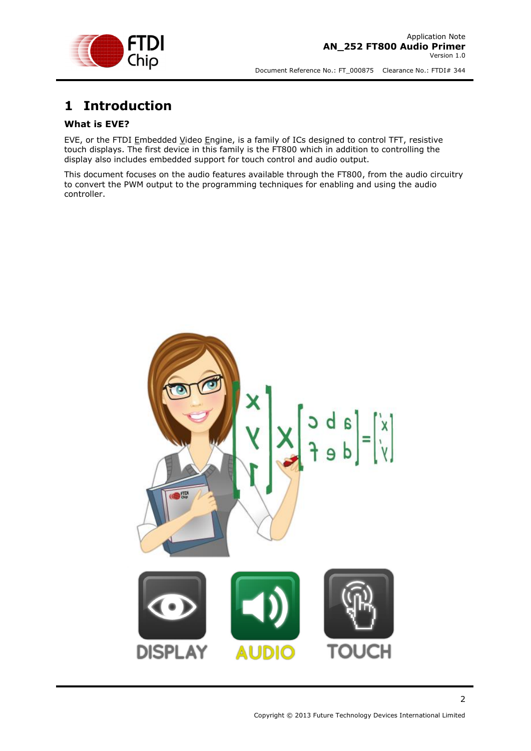

# <span id="page-2-0"></span>**1 Introduction**

#### **What is EVE?**

EVE, or the FTDI Embedded Video Engine, is a family of ICs designed to control TFT, resistive touch displays. The first device in this family is the FT800 which in addition to controlling the display also includes embedded support for touch control and audio output.

This document focuses on the audio features available through the FT800, from the audio circuitry to convert the PWM output to the programming techniques for enabling and using the audio controller.

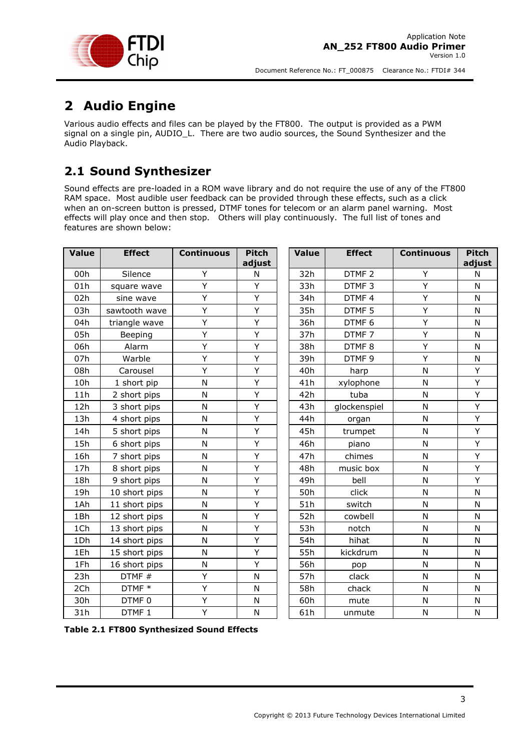

# <span id="page-3-0"></span>**2 Audio Engine**

Various audio effects and files can be played by the FT800. The output is provided as a PWM signal on a single pin, AUDIO\_L. There are two audio sources, the Sound Synthesizer and the Audio Playback.

# <span id="page-3-1"></span>**2.1 Sound Synthesizer**

Sound effects are pre-loaded in a ROM wave library and do not require the use of any of the FT800 RAM space. Most audible user feedback can be provided through these effects, such as a click when an on-screen button is pressed, DTMF tones for telecom or an alarm panel warning. Most effects will play once and then stop. Others will play continuously. The full list of tones and features are shown below:

| <b>Value</b> | <b>Effect</b>     | <b>Continuous</b> | <b>Pitch</b><br>adjust | <b>Value</b> | <b>Effect</b>     | <b>Continuous</b> | <b>Pitch</b><br>adjust |
|--------------|-------------------|-------------------|------------------------|--------------|-------------------|-------------------|------------------------|
| 00h          | Silence           | Υ                 | N                      | 32h          | DTMF <sub>2</sub> | Υ                 | N                      |
| 01h          | square wave       | Υ                 | Y                      | 33h          | DTMF <sub>3</sub> | Υ                 | N                      |
| 02h          | sine wave         | Υ                 | Y                      | 34h          | DTMF4             | Υ                 | N                      |
| 03h          | sawtooth wave     | Ÿ                 | Ÿ                      | 35h          | DTMF <sub>5</sub> | Y                 | N                      |
| 04h          | triangle wave     | Y                 | Y                      | 36h          | DTMF <sub>6</sub> | Y                 | N                      |
| 05h          | Beeping           | Y                 | Y                      | 37h          | DTMF7             | Y                 | N                      |
| 06h          | Alarm             | Υ                 | Y                      | 38h          | DTMF <sub>8</sub> | Υ                 | N                      |
| 07h          | Warble            | Υ                 | Y                      | 39h          | DTMF 9            | Υ                 | N                      |
| 08h          | Carousel          | Ÿ                 | Y                      | 40h          | harp              | N                 | Y                      |
| 10h          | 1 short pip       | N                 | Υ                      | 41h          | xylophone         | N                 | Y                      |
| 11h          | 2 short pips      | N                 | Ÿ                      | 42h          | tuba              | N                 | Y                      |
| 12h          | 3 short pips      | N                 | Y                      | 43h          | glockenspiel      | N                 | Y                      |
| 13h          | 4 short pips      | N                 | Ý                      | 44h          | organ             | N                 | Ÿ                      |
| 14h          | 5 short pips      | N                 | Ÿ                      | 45h          | trumpet           | N                 | Y                      |
| 15h          | 6 short pips      | N                 | Ÿ                      | 46h          | piano             | N                 | Y                      |
| 16h          | 7 short pips      | N                 | Y                      | 47h          | chimes            | N                 | Y                      |
| 17h          | 8 short pips      | N                 | Y                      | 48h          | music box         | N                 | Y                      |
| 18h          | 9 short pips      | $\mathsf{N}$      | Y                      | 49h          | bell              | N                 | Y                      |
| 19h          | 10 short pips     | $\mathsf{N}$      | Υ                      | 50h          | click             | N                 | N                      |
| 1Ah          | 11 short pips     | $\mathsf{N}$      | Y                      | 51h          | switch            | N                 | $\mathsf{N}$           |
| 1Bh          | 12 short pips     | N                 | Y                      | 52h          | cowbell           | N                 | N                      |
| 1Ch          | 13 short pips     | N                 | Ÿ                      | 53h          | notch             | N                 | N                      |
| 1Dh          | 14 short pips     | N                 | Y                      | 54h          | hihat             | N                 | N                      |
| 1Eh          | 15 short pips     | N                 | Ý                      | 55h          | kickdrum          | N                 | N                      |
| 1Fh          | 16 short pips     | N                 | Y                      | 56h          | pop               | N                 | N                      |
| 23h          | DTMF #            | Y                 | N                      | 57h          | clack             | N                 | N                      |
| 2Ch          | DTMF *            | Υ                 | N                      | 58h          | chack             | N                 | N                      |
| 30h          | DTMF0             | Υ                 | N                      | 60h          | mute              | N                 | N                      |
| 31h          | DTMF <sub>1</sub> | Υ                 | N                      | 61h          | unmute            | N                 | N                      |

<span id="page-3-2"></span>**Table 2.1 FT800 Synthesized Sound Effects**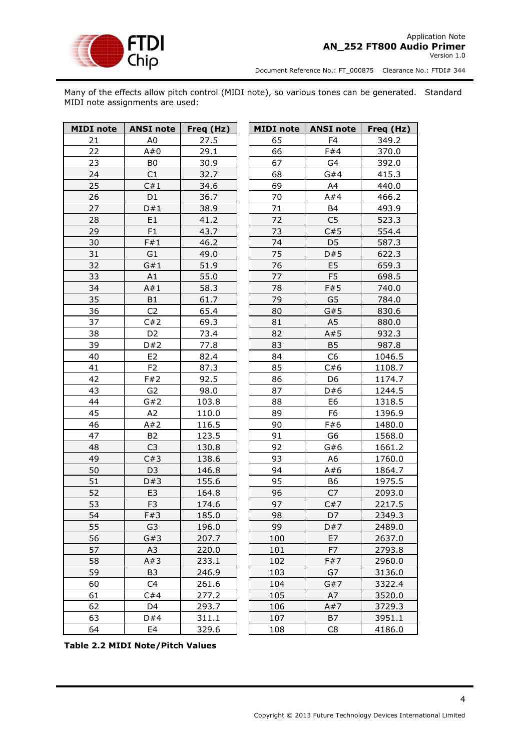

Many of the effects allow pitch control (MIDI note), so various tones can be generated. Standard MIDI note assignments are used:

| <b>MIDI</b> note | <b>ANSI note</b> | Freq (Hz) | <b>MIDI</b> note | <b>ANSI note</b> | Freq (Hz) |
|------------------|------------------|-----------|------------------|------------------|-----------|
| 21               | A <sub>0</sub>   | 27.5      | 65               | F <sub>4</sub>   | 349.2     |
| 22               | A#0              | 29.1      | 66               | F#4              | 370.0     |
| 23               | B <sub>0</sub>   | 30.9      | 67               | G4               | 392.0     |
| 24               | C1               | 32.7      | 68               | G#4              | 415.3     |
| 25               | C#1              | 34.6      | 69               | A4               | 440.0     |
| 26               | D1               | 36.7      | 70               | A#4              | 466.2     |
| 27               | D#1              | 38.9      | 71               | B4               | 493.9     |
| 28               | E <sub>1</sub>   | 41.2      | 72               | C <sub>5</sub>   | 523.3     |
| 29               | F <sub>1</sub>   | 43.7      | 73               | C#5              | 554.4     |
| 30               | F#1              | 46.2      | 74               | D <sub>5</sub>   | 587.3     |
| 31               | G1               | 49.0      | 75               | D#5              | 622.3     |
| 32               | G#1              | 51.9      | 76               | E <sub>5</sub>   | 659.3     |
| 33               | A1               | 55.0      | 77               | F <sub>5</sub>   | 698.5     |
| 34               | A#1              | 58.3      | 78               | F#5              | 740.0     |
| 35               | B <sub>1</sub>   | 61.7      | 79               | G <sub>5</sub>   | 784.0     |
| 36               | C <sub>2</sub>   | 65.4      | 80               | G#5              | 830.6     |
| 37               | C#2              | 69.3      | 81               | A <sub>5</sub>   | 880.0     |
| 38               | D <sub>2</sub>   | 73.4      | 82               | A#5              | 932.3     |
| 39               | D#2              | 77.8      | 83               | <b>B5</b>        | 987.8     |
| 40               | E <sub>2</sub>   | 82.4      | 84               | C <sub>6</sub>   | 1046.5    |
| 41               | F <sub>2</sub>   | 87.3      | 85               | C#6              | 1108.7    |
| 42               | F#2              | 92.5      | 86               | D <sub>6</sub>   | 1174.7    |
| 43               | G <sub>2</sub>   | 98.0      | 87               | D#6              | 1244.5    |
| 44               | G#2              | 103.8     | 88               | E <sub>6</sub>   | 1318.5    |
| 45               | A <sub>2</sub>   | 110.0     | 89               | F <sub>6</sub>   | 1396.9    |
| 46               | A#2              | 116.5     | 90               | F#6              | 1480.0    |
| 47               | <b>B2</b>        | 123.5     | 91               | G <sub>6</sub>   | 1568.0    |
| 48               | C <sub>3</sub>   | 130.8     | 92               | G#6              | 1661.2    |
| 49               | C#3              | 138.6     | 93               | A <sub>6</sub>   | 1760.0    |
| 50               | D <sub>3</sub>   | 146.8     | 94               | A#6              | 1864.7    |
| 51               | D#3              | 155.6     | 95               | B6               | 1975.5    |
| 52               | E <sub>3</sub>   | 164.8     | 96               | C7               | 2093.0    |
| 53               | F <sub>3</sub>   | 174.6     | 97               | C#7              | 2217.5    |
| 54               | F#3              | 185.0     | 98               | D7               | 2349.3    |
| 55               | G <sub>3</sub>   | 196.0     | 99               | D#7              | 2489.0    |
| 56               | G#3              | 207.7     | 100              | E7               | 2637.0    |
| 57               | A3               | 220.0     | 101              | F7               | 2793.8    |
| 58               | A#3              | 233.1     | 102              | F#7              | 2960.0    |
| 59               | B <sub>3</sub>   | 246.9     | 103              | G7               | 3136.0    |
| 60               | C <sub>4</sub>   | 261.6     | 104              | G#7              | 3322.4    |
| 61               | C#4              | 277.2     | 105              | A7               | 3520.0    |
| 62               | D4               | 293.7     | 106              | A#7              | 3729.3    |
| 63               | D#4              | 311.1     | 107              | B7               | 3951.1    |
| 64               | E4               | 329.6     | 108              | C8               | 4186.0    |

**Table 2.2 MIDI Note/Pitch Values**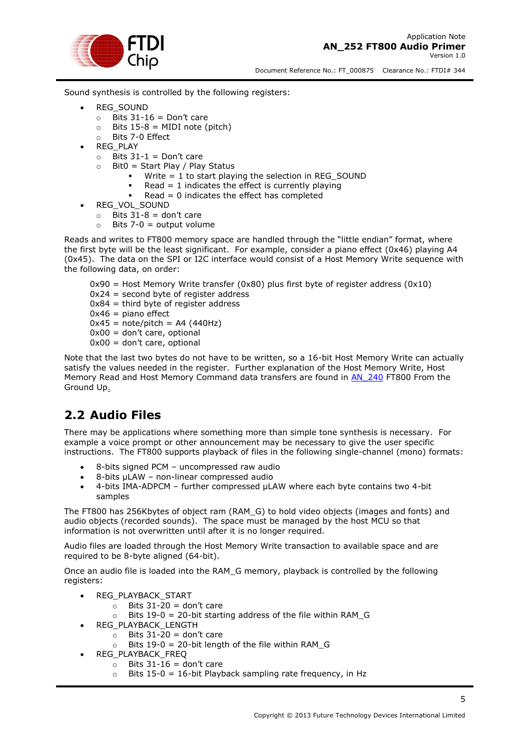

Sound synthesis is controlled by the following registers:

- REG\_SOUND
	- $\circ$  Bits 31-16 = Don't care
	- $\circ$  Bits 15-8 = MIDI note (pitch)
	- o Bits 7-0 Effect
- REG\_PLAY
	- $\circ$  Bits 31-1 = Don't care
	- $\circ$  Bit0 = Start Play / Play Status
		- Write  $= 1$  to start playing the selection in REG\_SOUND
		- Read = 1 indicates the effect is currently playing
		- Read = 0 indicates the effect has completed
- REG\_VOL\_SOUND
	- $\circ$  Bits 31-8 = don't care
		- $\circ$  Bits 7-0 = output volume

Reads and writes to FT800 memory space are handled through the "little endian" format, where the first byte will be the least significant. For example, consider a piano effect (0x46) playing A4 (0x45). The data on the SPI or I2C interface would consist of a Host Memory Write sequence with the following data, on order:

 $0x90$  = Host Memory Write transfer ( $0x80$ ) plus first byte of register address ( $0x10$ )  $0x24$  = second byte of register address  $0x84 =$  third byte of register address  $0x46 =$  piano effect  $0x45$  = note/pitch = A4 (440Hz)  $0x00 =$  don't care, optional  $0x00 =$  don't care, optional

Note that the last two bytes do not have to be written, so a 16-bit Host Memory Write can actually satisfy the values needed in the register. Further explanation of the Host Memory Write, Host Memory Read and Host Memory Command data transfers are found in [AN\\_240](http://www.ftdichip.com/Support/Documents/AppNotes/AN_240_FT800_From_The_Ground_Up.pdf) FT800 From the [Ground Up.](http://www.ftdichip.com/Support/Documents/AppNotes/AN_240_FT800_From_The_Groung_Up.pdf)

### <span id="page-5-0"></span>**2.2 Audio Files**

There may be applications where something more than simple tone synthesis is necessary. For example a voice prompt or other announcement may be necessary to give the user specific instructions. The FT800 supports playback of files in the following single-channel (mono) formats:

- 8-bits signed PCM uncompressed raw audio
- 8-bits µLAW non-linear compressed audio
- 4-bits IMA-ADPCM further compressed µLAW where each byte contains two 4-bit samples

The FT800 has 256Kbytes of object ram (RAM\_G) to hold video objects (images and fonts) and audio objects (recorded sounds). The space must be managed by the host MCU so that information is not overwritten until after it is no longer required.

Audio files are loaded through the Host Memory Write transaction to available space and are required to be 8-byte aligned (64-bit).

Once an audio file is loaded into the RAM\_G memory, playback is controlled by the following registers:

- REG\_PLAYBACK\_START
	- $\circ$  Bits 31-20 = don't care
	- Bits  $19-0 = 20$ -bit starting address of the file within RAM\_G
- REG\_PLAYBACK\_LENGTH
	- $\circ$  Bits 31-20 = don't care
	- o Bits 19-0 = 20-bit length of the file within RAM\_G
	- REG\_PLAYBACK\_FREQ
		- $\circ$  Bits 31-16 = don't care
		- $\circ$  Bits 15-0 = 16-bit Playback sampling rate frequency, in Hz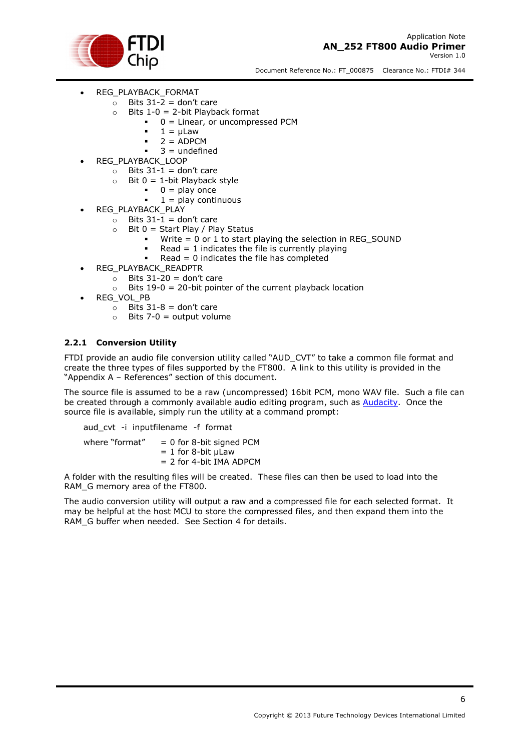

- REG\_PLAYBACK\_FORMAT
	- $\circ$  Bits 31-2 = don't care
	- $\circ$  Bits 1-0 = 2-bit Playback format
		- 0 = Linear, or uncompressed PCM
			- $\blacksquare$  1 = µLaw
			- $= 2 = ADPCM$
			- $3 =$  undefined
- REG\_PLAYBACK\_LOOP
	- $\circ$  Bits 31-1 = don't care
	- $\circ$  Bit 0 = 1-bit Playback style
		- $0 = play once$ 
			- $1 =$  play continuous
	- REG\_PLAYBACK\_PLAY
		- $\circ$  Bits 31-1 = don't care
		- $\circ$  Bit 0 = Start Play / Play Status
			- Write = 0 or 1 to start playing the selection in REG\_SOUND
			- Read = 1 indicates the file is currently playing
			- Read =  $0$  indicates the file has completed
- REG\_PLAYBACK\_READPTR
	- $\circ$  Bits 31-20 = don't care
		- $\circ$  Bits 19-0 = 20-bit pointer of the current playback location
- REG\_VOL\_PB
	- $\circ$  Bits 31-8 = don't care
	- $\circ$  Bits 7-0 = output volume

#### <span id="page-6-0"></span>**2.2.1 Conversion Utility**

FTDI provide an audio file conversion utility called "AUD\_CVT" to take a common file format and create the three types of files supported by the FT800. A link to this utility is provided in the "[Appendix A](#page-14-0) – References" section of this document.

The source file is assumed to be a raw (uncompressed) 16bit PCM, mono WAV file. Such a file can be created through a commonly available audio editing program, such as [Audacity.](http://audacity.sourceforge.net/) Once the source file is available, simply run the utility at a command prompt:

aud cvt -i inputfilename -f format

where "format"  $= 0$  for 8-bit signed PCM  $= 1$  for 8-bit  $\mu$ Law = 2 for 4-bit IMA ADPCM

A folder with the resulting files will be created. These files can then be used to load into the RAM G memory area of the FT800.

The audio conversion utility will output a raw and a compressed file for each selected format. It may be helpful at the host MCU to store the compressed files, and then expand them into the RAM\_G buffer when needed. See Section [4](#page-10-0) for details.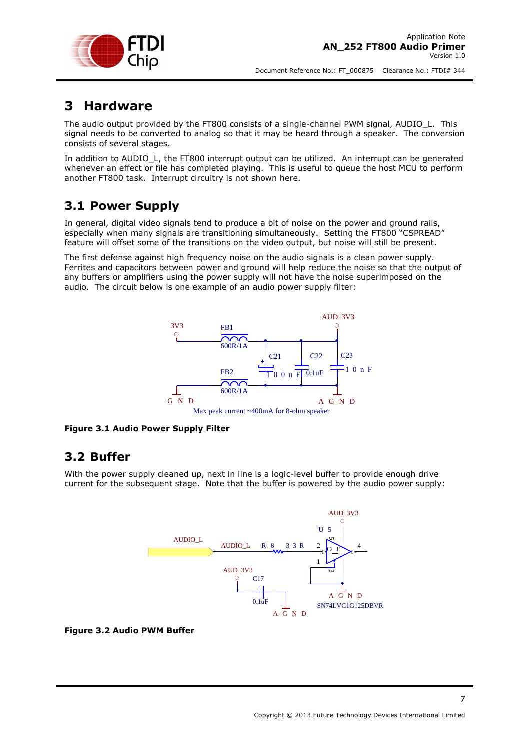

### <span id="page-7-0"></span>**3 Hardware**

The audio output provided by the FT800 consists of a single-channel PWM signal, AUDIO\_L. This signal needs to be converted to analog so that it may be heard through a speaker. The conversion consists of several stages.

In addition to AUDIO\_L, the FT800 interrupt output can be utilized. An interrupt can be generated whenever an effect or file has completed playing. This is useful to queue the host MCU to perform another FT800 task. Interrupt circuitry is not shown here.

### <span id="page-7-1"></span>**3.1 Power Supply**

In general, digital video signals tend to produce a bit of noise on the power and ground rails, especially when many signals are transitioning simultaneously. Setting the FT800 "CSPREAD" feature will offset some of the transitions on the video output, but noise will still be present.

<span id="page-7-3"></span>The first defense against high frequency noise on the audio signals is a clean power supply. Ferrites and capacitors between power and ground will help reduce the noise so that the output of any buffers or amplifiers using the power supply will not have the noise superimposed on the audio. The circuit below is one example of an audio power supply filter:



**Figure 3.1 Audio Power Supply Filter** 

### <span id="page-7-2"></span>**3.2 Buffer**

With the power supply cleaned up, next in line is a logic-level buffer to provide enough drive current for the subsequent stage. Note that the buffer is powered by the audio power supply:



#### <span id="page-7-4"></span>**Figure 3.2 Audio PWM Buffer**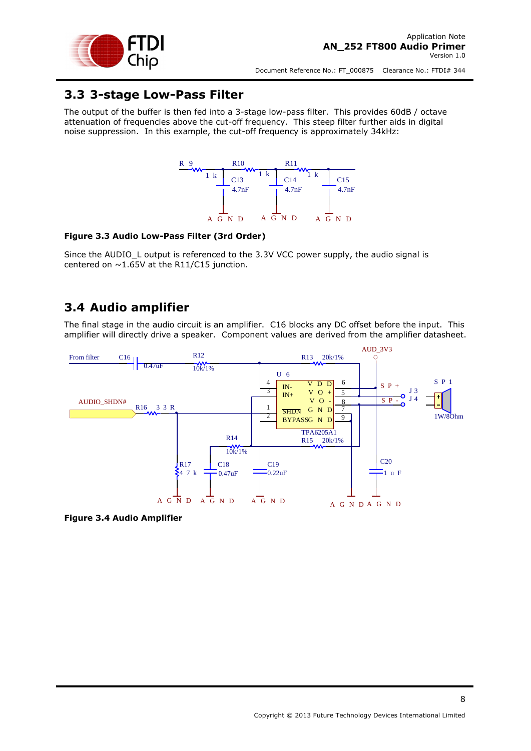

#### <span id="page-8-0"></span>**3.3 3-stage Low-Pass Filter**

The output of the buffer is then fed into a 3-stage low-pass filter. This provides 60dB / octave attenuation of frequencies above the cut-off frequency. This steep filter further aids in digital noise suppression. In this example, the cut-off frequency is approximately 34kHz:



#### <span id="page-8-2"></span>**Figure 3.3 Audio Low-Pass Filter (3rd Order)**

Since the AUDIO L output is referenced to the 3.3V VCC power supply, the audio signal is centered on  $\sim$  1.65V at the R11/C15 junction.

#### <span id="page-8-1"></span>**3.4 Audio amplifier**

The final stage in the audio circuit is an amplifier. C16 blocks any DC offset before the input. This amplifier will directly drive a speaker. Component values are derived from the amplifier datasheet.



<span id="page-8-3"></span>**Figure 3.4 Audio Amplifier**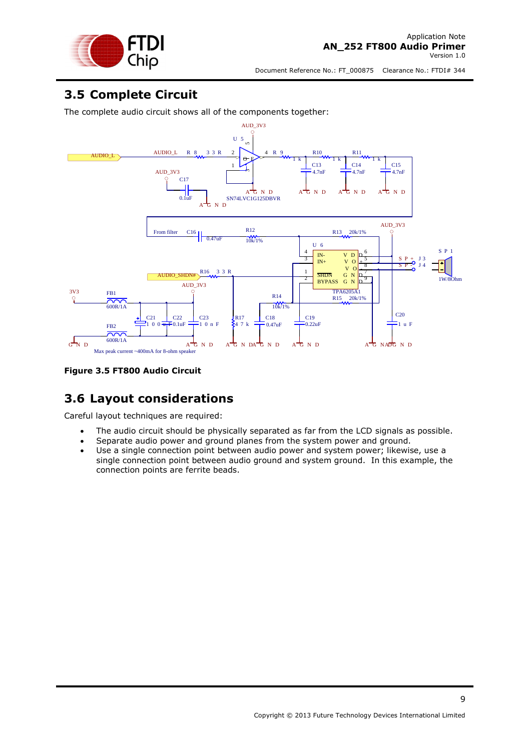

### <span id="page-9-0"></span>**3.5 Complete Circuit**

The complete audio circuit shows all of the components together:



<span id="page-9-2"></span>**Figure 3.5 FT800 Audio Circuit** 

### <span id="page-9-1"></span>**3.6 Layout considerations**

Careful layout techniques are required:

- The audio circuit should be physically separated as far from the LCD signals as possible.
- Separate audio power and ground planes from the system power and ground.
- Use a single connection point between audio power and system power; likewise, use a single connection point between audio ground and system ground. In this example, the connection points are ferrite beads.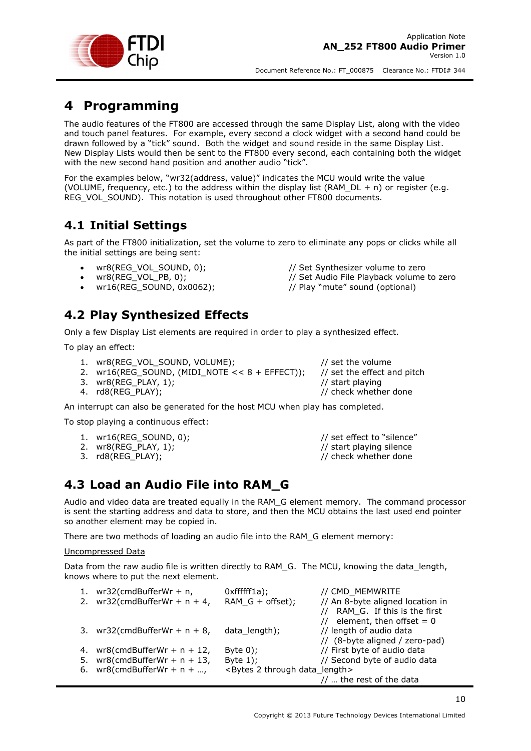

# <span id="page-10-0"></span>**4 Programming**

The audio features of the FT800 are accessed through the same Display List, along with the video and touch panel features. For example, every second a clock widget with a second hand could be drawn followed by a "tick" sound. Both the widget and sound reside in the same Display List. New Display Lists would then be sent to the FT800 every second, each containing both the widget with the new second hand position and another audio "tick".

For the examples below, "wr32(address, value)" indicates the MCU would write the value (VOLUME, frequency, etc.) to the address within the display list (RAM\_DL + n) or register (e.g. REG\_VOL\_SOUND). This notation is used throughout other FT800 documents.

### <span id="page-10-1"></span>**4.1 Initial Settings**

As part of the FT800 initialization, set the volume to zero to eliminate any pops or clicks while all the initial settings are being sent:

- wr8(REG\_VOL\_SOUND, 0);  $\frac{1}{2}$  // Set Synthesizer volume to zero
- 
- wr16(REG\_SOUND, 0x0062); // Play "mute" sound (optional)

### <span id="page-10-2"></span>**4.2 Play Synthesized Effects**

Only a few Display List elements are required in order to play a synthesized effect.

To play an effect:

- 1. wr8(REG\_VOL\_SOUND, VOLUME);  $\frac{1}{2}$  // set the volume
- 2. wr16(REG\_SOUND, (MIDI\_NOTE << 8 + EFFECT)); // set the effect and pitch
- 3. wr8(REG\_PLAY, 1); in the state of the state of the state of the state of the state of the state of the state of the state of the state of the state of the state of the state of the state of the state of the state of the

wr8(REG\_VOL\_PB, 0);  $\frac{1}{2}$  // Set Audio File Playback volume to zero

4. rd8(REG\_PLAY);  $\sqrt{}$  // check whether done

An interrupt can also be generated for the host MCU when play has completed.

To stop playing a continuous effect:

- 1. wr16(REG\_SOUND, 0);  $\frac{1}{2}$  // set effect to "silence"
- 
- 

2. wr8(REG\_PLAY, 1);  $\frac{1}{2}$  // start playing silence 3. rd8(REG\_PLAY);  $\sqrt{ }$  // check whether done

### <span id="page-10-3"></span>**4.3 Load an Audio File into RAM\_G**

Audio and video data are treated equally in the RAM\_G element memory. The command processor is sent the starting address and data to store, and then the MCU obtains the last used end pointer so another element may be copied in.

There are two methods of loading an audio file into the RAM\_G element memory:

Uncompressed Data

Data from the raw audio file is written directly to RAM\_G. The MCU, knowing the data\_length, knows where to put the next element.

| 1. | wr32(cmdBufferWr + n,           | Oxffffff1a);                                      | // CMD MEMWRITE                  |
|----|---------------------------------|---------------------------------------------------|----------------------------------|
|    | 2. $wr32(cmdBufferWr + n + 4,$  | RAM $G +$ offset);                                | // An 8-byte aligned location in |
|    |                                 |                                                   | // RAM G. If this is the first   |
|    |                                 |                                                   | // element, then offset = $0$    |
|    | 3. $wr32$ (cmdBufferWr + n + 8, | data length);                                     | // length of audio data          |
|    |                                 |                                                   | // (8-byte aligned / zero-pad)   |
|    | 4. $wr8$ (cmdBufferWr + n + 12, | Byte $0$ );                                       | // First byte of audio data      |
| 5. | $wr8$ (cmdBufferWr + n + 13,    | Byte $1$ );                                       | // Second byte of audio data     |
|    | 6. $wr8$ (cmdBufferWr + n +     | <bytes 2="" data="" length="" through=""></bytes> |                                  |
|    |                                 |                                                   | //  the rest of the data         |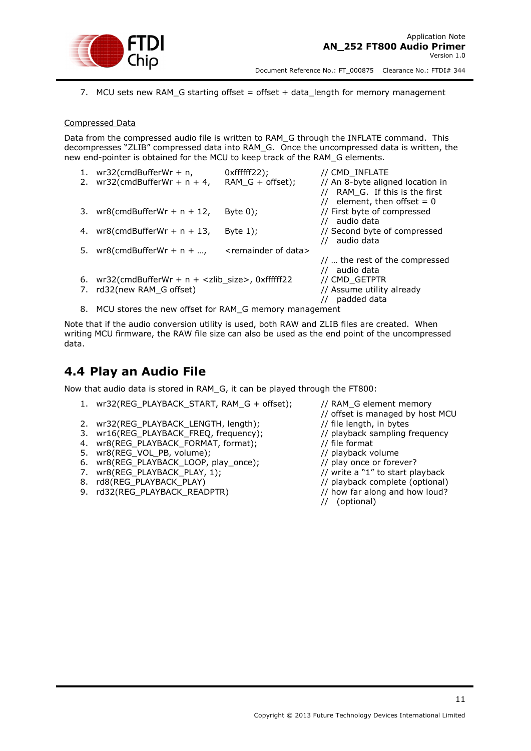

7. MCU sets new RAM\_G starting offset = offset + data\_length for memory management

#### Compressed Data

Data from the compressed audio file is written to RAM\_G through the INFLATE command. This decompresses "ZLIB" compressed data into RAM\_G. Once the uncompressed data is written, the new end-pointer is obtained for the MCU to keep track of the RAM\_G elements.

| 1. | $wr32$ (cmdBufferWr + n,<br>2. $wr32(cmdBufferWr + n + 4,$    | $Oxffffff22$ ;<br>RAM $G +$ offset);  | // CMD INFLATE<br>// An 8-byte aligned location in        |
|----|---------------------------------------------------------------|---------------------------------------|-----------------------------------------------------------|
|    |                                                               |                                       | RAM_G. If this is the first<br>element, then offset $= 0$ |
|    | 3. $wr8$ (cmdBufferWr + n + 12,                               | Byte $0$ );                           | // First byte of compressed<br>// audio data              |
| 4. | $wr8$ (cmdBufferWr + n + 13,                                  | Byte $1$ :                            | // Second byte of compressed<br>audio data                |
| 5. | $wr8$ (cmdBufferWr + n +                                      | <remainder data="" of=""></remainder> |                                                           |
|    |                                                               |                                       | $\frac{1}{2}$ the rest of the compressed                  |
|    |                                                               |                                       | audio data                                                |
| 6. | $wr32$ (cmdBufferWr + n + <zlib_size>, 0xffffff22</zlib_size> |                                       | // CMD GETPTR                                             |
| 7. | rd32(new RAM G offset)                                        |                                       | // Assume utility already                                 |
|    |                                                               |                                       | padded data                                               |

8. MCU stores the new offset for RAM\_G memory management

Note that if the audio conversion utility is used, both RAW and ZLIB files are created. When writing MCU firmware, the RAW file size can also be used as the end point of the uncompressed data.

#### <span id="page-11-0"></span>**4.4 Play an Audio File**

Now that audio data is stored in RAM\_G, it can be played through the FT800:

- 1. wr32(REG\_PLAYBACK\_START, RAM\_G + offset); // RAM\_G element memory
- 2. wr32(REG\_PLAYBACK\_LENGTH, length); // file length, in bytes
- 3. wr16(REG\_PLAYBACK\_FREQ, frequency); // playback sampling frequency
- 4. wr8(REG\_PLAYBACK\_FORMAT, format);  $\frac{1}{2}$  // file format
- 5. wr8(REG\_VOL\_PB, volume); // playback volume
- 6. wr8(REG\_PLAYBACK\_LOOP, play\_once); // play once or forever?
- 
- 
- 9. rd32(REG\_PLAYBACK\_READPTR) // how far along and how loud?
- // offset is managed by host MCU
- 
- 
- 
- 
- 
- 7. wr8(REG\_PLAYBACK\_PLAY, 1);  $\frac{1}{2}$  // write a "1" to start playback
- 8. rd8(REG\_PLAYBACK\_PLAY) // playback complete (optional)
	-
	- // (optional)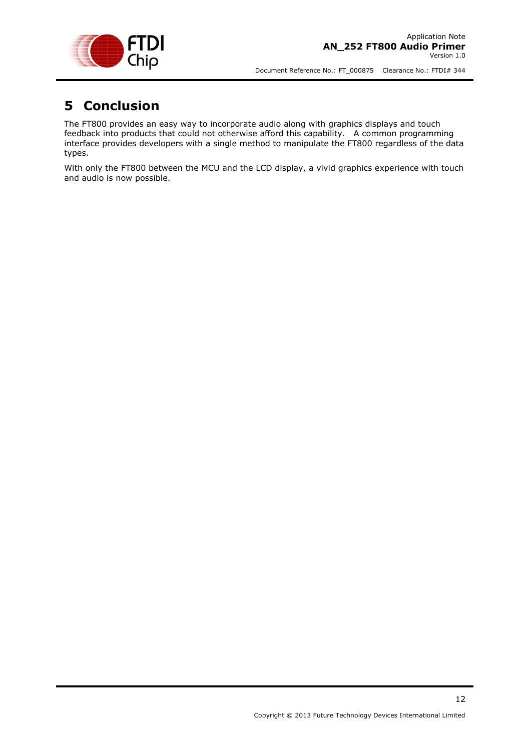

## <span id="page-12-0"></span>**5 Conclusion**

The FT800 provides an easy way to incorporate audio along with graphics displays and touch feedback into products that could not otherwise afford this capability. A common programming interface provides developers with a single method to manipulate the FT800 regardless of the data types.

With only the FT800 between the MCU and the LCD display, a vivid graphics experience with touch and audio is now possible.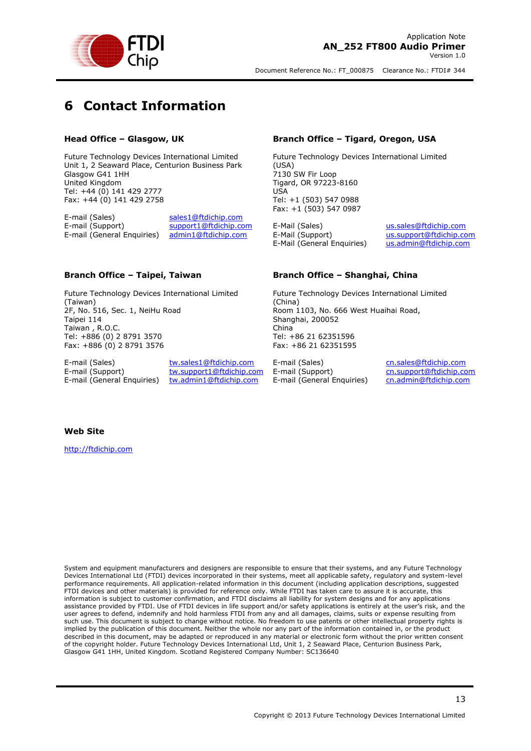

# <span id="page-13-0"></span>**6 Contact Information**

#### **Head Office – Glasgow, UK**

Future Technology Devices International Limited Unit 1, 2 Seaward Place, Centurion Business Park Glasgow G41 1HH United Kingdom Tel: +44 (0) 141 429 2777 Fax: +44 (0) 141 429 2758

E-mail (Sales) [sales1@ftdichip.com](mailto:sales1@ftdichip.com) E-mail (Support) [support1@ftdichip.com](mailto:support1@ftdichip.com) E-mail (General Enquiries) [admin1@ftdichip.com](mailto:admin1@ftdichip.com)

#### **Branch Office – Taipei, Taiwan**

Future Technology Devices International Limited (Taiwan) 2F, No. 516, Sec. 1, NeiHu Road Taipei 114 Taiwan , R.O.C. Tel: +886 (0) 2 8791 3570 Fax: +886 (0) 2 8791 3576

E-mail (Sales) [tw.sales1@ftdichip.com](mailto:tw.sales1@ftdichip.com)<br>
E-mail (Support) tw.support1@ftdichip.com E-mail (General Enquiries) [tw.admin1@ftdichip.com](mailto:tw.admin1@ftdichip.com)

[tw.support1@ftdichip.com](mailto:tw.support1@ftdichip.com)

#### **Branch Office – Tigard, Oregon, USA**

Future Technology Devices International Limited (USA) 7130 SW Fir Loop Tigard, OR 97223-8160 USA Tel: +1 (503) 547 0988 Fax: +1 (503) 547 0987

E-Mail (Sales) [us.sales@ftdichip.com](mailto:us.sales@ftdichip.com) E-Mail (Support) [us.support@ftdichip.com](mailto:us.support@ftdichip.com) E-Mail (General Enquiries) [us.admin@ftdichip.com](mailto:us.admin@ftdichip.com)

#### **Branch Office – Shanghai, China**

Future Technology Devices International Limited (China) Room 1103, No. 666 West Huaihai Road, Shanghai, 200052 China Tel: +86 21 62351596 Fax: +86 21 62351595

E-mail (Sales) [cn.sales@ftdichip.com](mailto:cn.sales@ftdichip.com)<br>E-mail (Support) cn.support@ftdichip.com E-mail (General Enquiries) [cn.admin@ftdichip.com](mailto:cn.admin@ftdichip.com)

[cn.support@ftdichip.com](mailto:cn.support@ftdichip.com)

13

#### **Web Site**

[http://ftdichip.com](http://ftdichip.com/)

System and equipment manufacturers and designers are responsible to ensure that their systems, and any Future Technology Devices International Ltd (FTDI) devices incorporated in their systems, meet all applicable safety, regulatory and system-level performance requirements. All application-related information in this document (including application descriptions, suggested FTDI devices and other materials) is provided for reference only. While FTDI has taken care to assure it is accurate, this information is subject to customer confirmation, and FTDI disclaims all liability for system designs and for any applications assistance provided by FTDI. Use of FTDI devices in life support and/or safety applications is entirely at the user's risk, and the user agrees to defend, indemnify and hold harmless FTDI from any and all damages, claims, suits or expense resulting from such use. This document is subject to change without notice. No freedom to use patents or other intellectual property rights is implied by the publication of this document. Neither the whole nor any part of the information contained in, or the product described in this document, may be adapted or reproduced in any material or electronic form without the prior written consent of the copyright holder. Future Technology Devices International Ltd, Unit 1, 2 Seaward Place, Centurion Business Park, Glasgow G41 1HH, United Kingdom. Scotland Registered Company Number: SC136640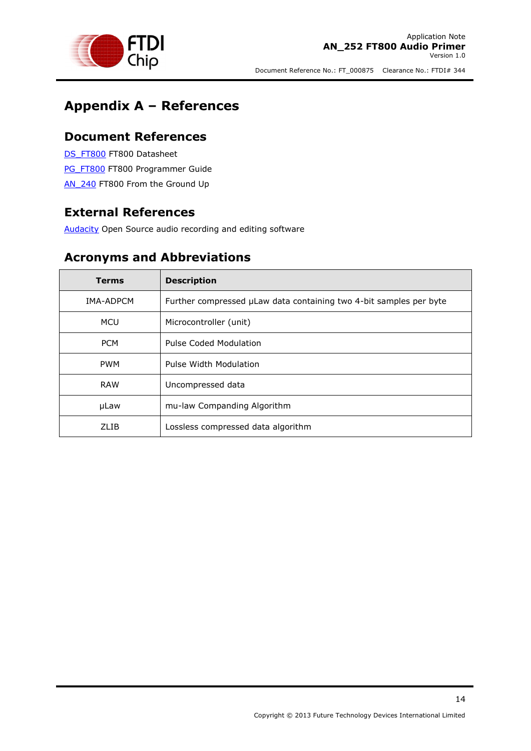

## <span id="page-14-0"></span>**Appendix A – References**

#### <span id="page-14-1"></span>**Document References**

[DS\\_FT800](http://www.ftdichip.com/Support/Documents/DataSheets/ICs/DS_FT800.pdf) FT800 Datasheet [PG\\_FT800](http://www.ftdichip.com/Support/Documents/ProgramGuides/FT800_Programmer_Guide.pdf) FT800 Programmer Guide

<span id="page-14-2"></span>AN 240 FT800 From the Ground Up

### **External References**

<span id="page-14-3"></span>[Audacity](http://audacity.sourceforge.net/) Open Source audio recording and editing software

### **Acronyms and Abbreviations**

| <b>Terms</b> | <b>Description</b>                                                 |
|--------------|--------------------------------------------------------------------|
| IMA-ADPCM    | Further compressed µLaw data containing two 4-bit samples per byte |
| <b>MCU</b>   | Microcontroller (unit)                                             |
| <b>PCM</b>   | Pulse Coded Modulation                                             |
| <b>PWM</b>   | Pulse Width Modulation                                             |
| <b>RAW</b>   | Uncompressed data                                                  |
| µLaw         | mu-law Companding Algorithm                                        |
| 71 TB        | Lossless compressed data algorithm                                 |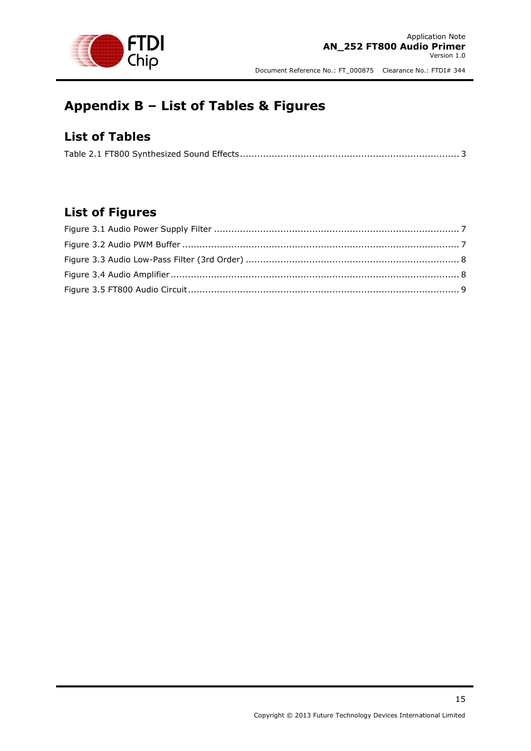

# <span id="page-15-0"></span>**Appendix B – List of Tables & Figures**

### <span id="page-15-1"></span>**List of Tables**

|--|--|

### <span id="page-15-2"></span>**List of Figures**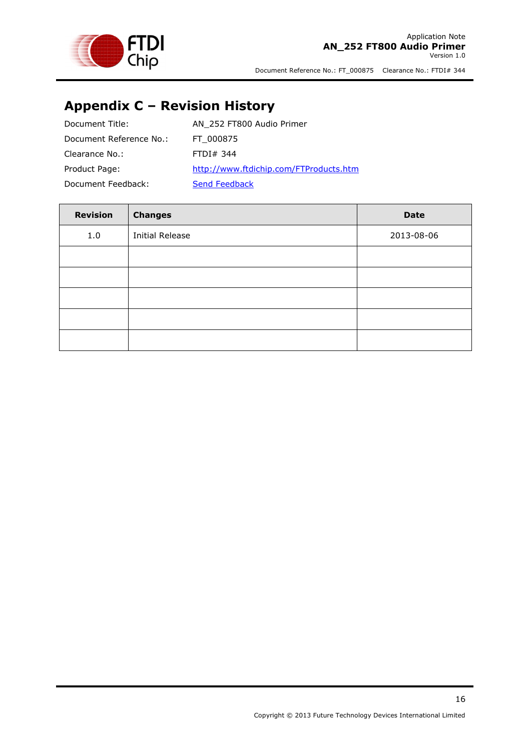

# <span id="page-16-0"></span>**Appendix C – Revision History**

| Document Title:         | AN 252 FT800 Audio Primer              |
|-------------------------|----------------------------------------|
| Document Reference No.: | FT 000875                              |
| Clearance No.:          | FTDI# 344                              |
| Product Page:           | http://www.ftdichip.com/FTProducts.htm |
| Document Feedback:      | Send Feedback                          |

| <b>Revision</b> | <b>Changes</b>         | <b>Date</b> |
|-----------------|------------------------|-------------|
| 1.0             | <b>Initial Release</b> | 2013-08-06  |
|                 |                        |             |
|                 |                        |             |
|                 |                        |             |
|                 |                        |             |
|                 |                        |             |